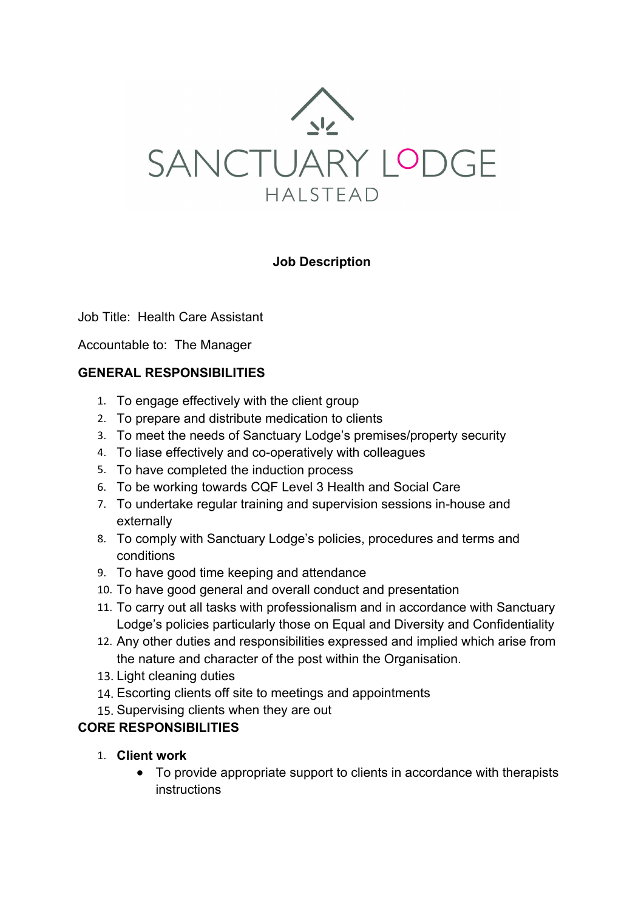

## **Job Description**

#### Job Title:Health Care Assistant

Accountable to: The Manager

## **GENERAL RESPONSIBILITIES**

- 1. To engage effectively with the client group
- 2. To prepare and distribute medication to clients
- 3. To meet the needs of Sanctuary Lodge's premises/property security
- 4. To liase effectively and co-operatively with colleagues
- 5. To have completed the induction process
- 6. To be working towards CQF Level 3 Health and Social Care
- 7. To undertake regular training and supervision sessions in-house and externally
- 8. To comply with Sanctuary Lodge's policies, procedures and terms and conditions
- 9. To have good time keeping and attendance
- 10. To have good general and overall conduct and presentation
- 11. To carry out all tasks with professionalism and in accordance with Sanctuary Lodge's policies particularly those on Equal and Diversity and Confidentiality
- 12. Any other duties and responsibilities expressed and implied which arise from the nature and character of the post within the Organisation.
- 13. Light cleaning duties
- 14. Escorting clients off site to meetings and appointments
- 15. Supervising clients when they are out

### **CORE RESPONSIBILITIES**

- 1. **Client work**
	- To provide appropriate support to clients in accordance with therapists instructions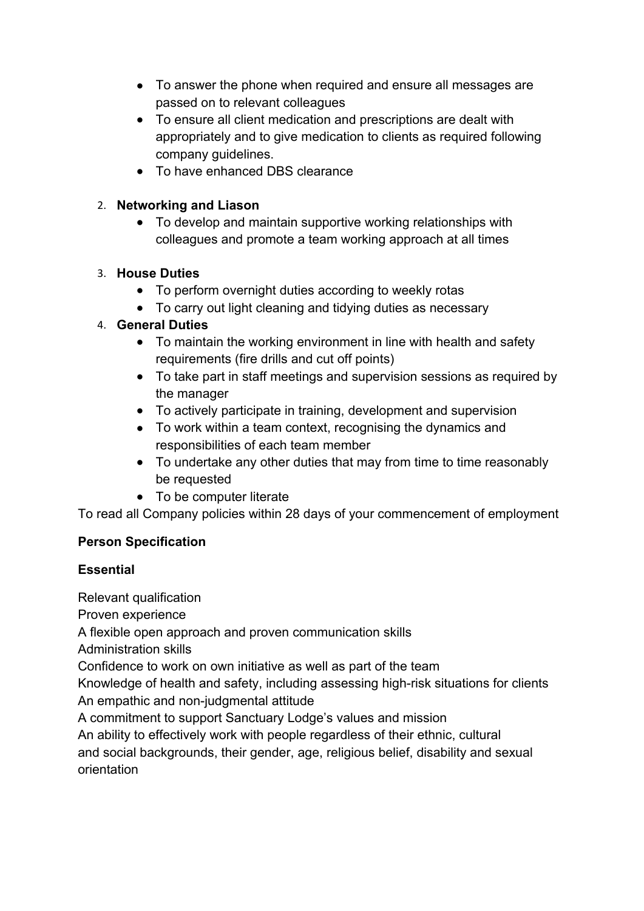- To answer the phone when required and ensure all messages are passed on to relevant colleagues
- To ensure all client medication and prescriptions are dealt with appropriately and to give medication to clients as required following company guidelines.
- To have enhanced DBS clearance

## 2. **Networking and Liason**

• To develop and maintain supportive working relationships with colleagues and promote a team working approach at all times

# 3. **House Duties**

- To perform overnight duties according to weekly rotas
- To carry out light cleaning and tidying duties as necessary

## 4. **General Duties**

- To maintain the working environment in line with health and safety requirements (fire drills and cut off points)
- To take part in staff meetings and supervision sessions as required by the manager
- To actively participate in training, development and supervision
- To work within a team context, recognising the dynamics and responsibilities of each team member
- To undertake any other duties that may from time to time reasonably be requested
- To be computer literate

To read all Company policies within 28 days of your commencement of employment

# **Person Specification**

### **Essential**

Relevant qualification

Proven experience

A flexible open approach and proven communication skills

Administration skills

Confidence to work on own initiative as well as part of the team

Knowledge of health and safety, including assessing high-risk situations for clients An empathic and non-judgmental attitude

A commitment to support Sanctuary Lodge's values and mission

An ability to effectively work with people regardless of their ethnic, cultural and social backgrounds, their gender, age, religious belief, disability and sexual orientation